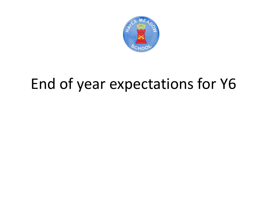

# End of year expectations for Y6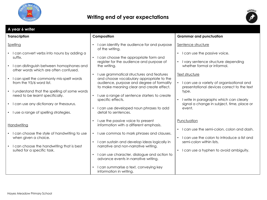



| A year 6 writer                                                                                                                                                                                                                                                                |                                                                                                                                                                                                                                                                                                                                                                                                                     |                                                                                                                                                                                                                                                |
|--------------------------------------------------------------------------------------------------------------------------------------------------------------------------------------------------------------------------------------------------------------------------------|---------------------------------------------------------------------------------------------------------------------------------------------------------------------------------------------------------------------------------------------------------------------------------------------------------------------------------------------------------------------------------------------------------------------|------------------------------------------------------------------------------------------------------------------------------------------------------------------------------------------------------------------------------------------------|
| <b>Transcription</b>                                                                                                                                                                                                                                                           | Composition                                                                                                                                                                                                                                                                                                                                                                                                         | <b>Grammar and punctuation</b>                                                                                                                                                                                                                 |
| Spelling<br>I can convert verbs into nouns by adding a<br>suffix.<br>I can distinguish between homophones and<br>other words which are often confused.<br>I can spell the commonly mis-spelt words<br>from the Y5/6 word list.<br>I understand that the spelling of some words | I can identify the audience for and purpose<br>of the writing.<br>I can choose the appropriate form and<br>register for the audience and purpose of<br>the writing.<br>I use grammatical structures and features<br>$\bullet$<br>and choose vocabulary appropriate to the<br>audience, purpose and degree of formality<br>to make meaning clear and create effect.                                                  | Sentence structure<br>I can use the passive voice.<br>I vary sentence structure depending<br>whether formal or informal.<br>Text structure<br>I can use a variety of organisational and<br>presentational devices correct to the text<br>type. |
| need to be learnt specifically.<br>• I can use any dictionary or thesaurus.<br>• I use a range of spelling strategies.                                                                                                                                                         | I use a range of sentence starters to create<br>$\bullet$<br>specific effects.<br>I can use developed noun phrases to add<br>detail to sentences.                                                                                                                                                                                                                                                                   | I write in paragraphs which can clearly<br>signal a change in subject, time, place or<br>event.                                                                                                                                                |
| Handwriting<br>I can choose the style of handwriting to use<br>when given a choice.<br>I can choose the handwriting that is best<br>suited for a specific task.                                                                                                                | I use the passive voice to present<br>information with a different emphasis.<br>I use commas to mark phrases and clauses.<br>$\bullet$<br>I can sustain and develop ideas logically in<br>narrative and non-narrative writing.<br>I can use character, dialogue and action to<br>$\bullet$<br>advance events in narrative writing.<br>I can summarise a text, conveying key<br>$\bullet$<br>information in writing. | Punctuation<br>I can use the semi-colon, colon and dash.<br>I can use the colon to introduce a list and<br>semi-colon within lists.<br>I can use a hyphen to avoid ambiguity.                                                                  |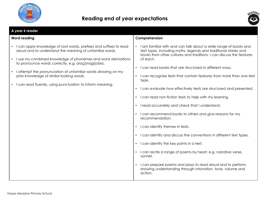



| A year 6 reader                                                                                                                                                                                                                                                                                                                                                                                                                              |                                                                                                                                                                                                                                                                                                                                                                                                                                                                                                                                                                                                                                                                                                                                                                                                                                                                                                                                                                                                                                                                        |  |  |
|----------------------------------------------------------------------------------------------------------------------------------------------------------------------------------------------------------------------------------------------------------------------------------------------------------------------------------------------------------------------------------------------------------------------------------------------|------------------------------------------------------------------------------------------------------------------------------------------------------------------------------------------------------------------------------------------------------------------------------------------------------------------------------------------------------------------------------------------------------------------------------------------------------------------------------------------------------------------------------------------------------------------------------------------------------------------------------------------------------------------------------------------------------------------------------------------------------------------------------------------------------------------------------------------------------------------------------------------------------------------------------------------------------------------------------------------------------------------------------------------------------------------------|--|--|
| <b>Word reading</b>                                                                                                                                                                                                                                                                                                                                                                                                                          | Comprehension                                                                                                                                                                                                                                                                                                                                                                                                                                                                                                                                                                                                                                                                                                                                                                                                                                                                                                                                                                                                                                                          |  |  |
| I can apply knowledge of root words, prefixes and suffixes to read<br>aloud and to understand the meaning of unfamiliar words.<br>I use my combined knowledge of phonemes and word deriviations<br>$\bullet$<br>to pronounce words correctly, e.g. arachnophobia.<br>I attempt the pronunciation of unfamiliar words drawing on my<br>prior knowledge of similar looking words.<br>I can read fluently, using punctuation to inform meaning. | • I am familiar with and can talk about a wide range of books and<br>text types, including myths, legends and traditional stories and<br>books from other cultures and traditions. I can discuss the features<br>of each.<br>I can read books that are structured in different ways.<br>$\bullet$<br>I can recognise texts that contain features from more than one text<br>$\bullet$<br>type.<br>I can evaluate how effectively texts are structured and presented.<br>$\bullet$<br>I can read non-fiction texts to help with my learning.<br>I read accurately and check that I understand.<br>I can recommend books to others and give reasons for my<br>recommendation.<br>I can identify themes in texts.<br>$\bullet$<br>I can identify and discuss the conventions in different text types.<br>• I can identify the key points in a text.<br>• I can recite a range of poems by heart, e.g. narrative verse,<br>sonnet.<br>I can prepare poems and plays to read aloud and to perform,<br>showing understanding through intonation, tone, volume and<br>action. |  |  |